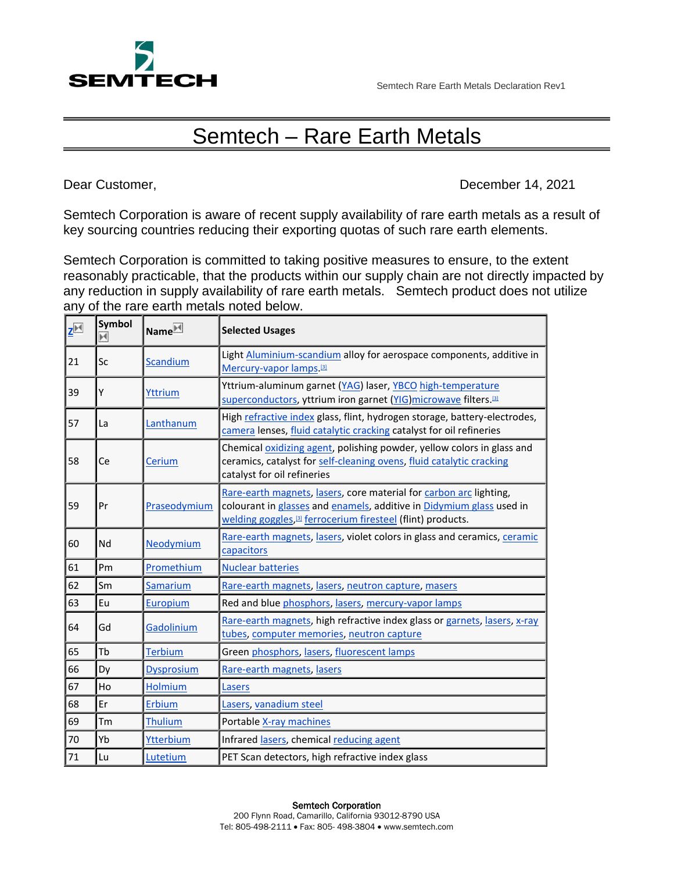

## Semtech – Rare Earth Metals

Dear Customer, December 14, 2021

Semtech Corporation is aware of recent supply availability of rare earth metals as a result of key sourcing countries reducing their exporting quotas of such rare earth elements.

Semtech Corporation is committed to taking positive measures to ensure, to the extent reasonably practicable, that the products within our supply chain are not directly impacted by any reduction in supply availability of rare earth metals. Semtech product does not utilize any of the rare earth metals noted below.

| $Z^{\triangleright 4}$ | Symbol<br>м | Name <sup> ★</sup> | <b>Selected Usages</b>                                                                                                                                                                                                |
|------------------------|-------------|--------------------|-----------------------------------------------------------------------------------------------------------------------------------------------------------------------------------------------------------------------|
| 21                     | Sc          | <b>Scandium</b>    | Light Aluminium-scandium alloy for aerospace components, additive in<br>Mercury-vapor lamps [3]                                                                                                                       |
| 39                     | Υ           | Yttrium            | Yttrium-aluminum garnet (YAG) laser, YBCO high-temperature<br>superconductors, yttrium iron garnet (YIG) microwave filters. <sup>[3]</sup>                                                                            |
| 57                     | La          | Lanthanum          | High refractive index glass, flint, hydrogen storage, battery-electrodes,<br>camera lenses, fluid catalytic cracking catalyst for oil refineries                                                                      |
| 58                     | Ce          | Cerium             | Chemical oxidizing agent, polishing powder, yellow colors in glass and<br>ceramics, catalyst for self-cleaning ovens, fluid catalytic cracking<br>catalyst for oil refineries                                         |
| 59                     | Pr          | Praseodymium       | Rare-earth magnets, lasers, core material for carbon arc lighting,<br>colourant in glasses and enamels, additive in Didymium glass used in<br>welding goggles, <sup>[3]</sup> ferrocerium firesteel (flint) products. |
| 60                     | Nd          | Neodymium          | Rare-earth magnets, lasers, violet colors in glass and ceramics, ceramic<br>capacitors                                                                                                                                |
| 61                     | Pm          | Promethium         | <b>Nuclear batteries</b>                                                                                                                                                                                              |
| 62                     | Sm          | Samarium           | Rare-earth magnets, lasers, neutron capture, masers                                                                                                                                                                   |
| 63                     | Eu          | Europium           | Red and blue phosphors, lasers, mercury-vapor lamps                                                                                                                                                                   |
| 64                     | Gd          | Gadolinium         | Rare-earth magnets, high refractive index glass or garnets, lasers, x-ray<br>tubes, computer memories, neutron capture                                                                                                |
| 65                     | Tb          | <b>Terbium</b>     | Green phosphors, lasers, fluorescent lamps                                                                                                                                                                            |
| 66                     | Dy          | <b>Dysprosium</b>  | Rare-earth magnets, lasers                                                                                                                                                                                            |
| 67                     | Ho          | <b>Holmium</b>     | Lasers                                                                                                                                                                                                                |
| 68                     | Er          | Erbium             | Lasers, vanadium steel                                                                                                                                                                                                |
| 69                     | Tm          | <b>Thulium</b>     | Portable X-ray machines                                                                                                                                                                                               |
| 70                     | Yb          | Ytterbium          | Infrared lasers, chemical reducing agent                                                                                                                                                                              |
| 71                     | Lu          | Lutetium           | PET Scan detectors, high refractive index glass                                                                                                                                                                       |

## Semtech Corporation